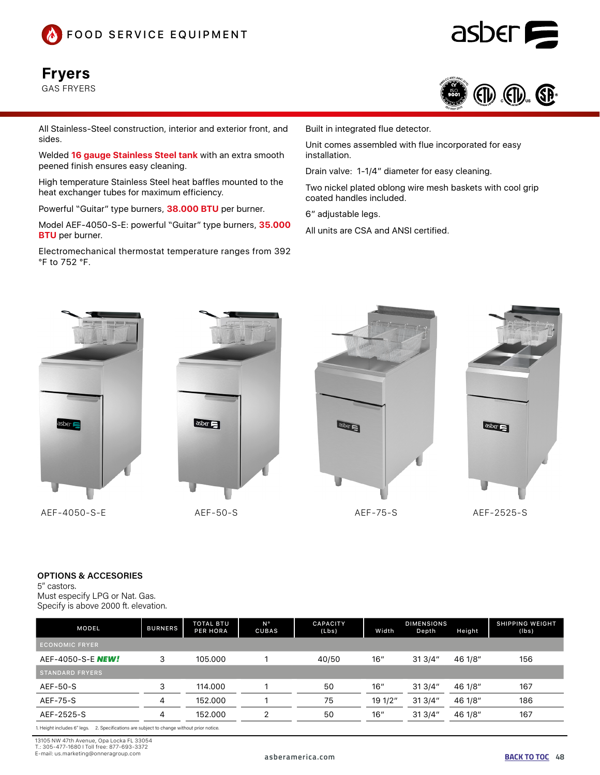

## Fryers

GAS FRYERS



asber

All Stainless-Steel construction, interior and exterior front, and sides.

Welded **16 gauge Stainless Steel tank** with an extra smooth peened finish ensures easy cleaning.

High temperature Stainless Steel heat baffles mounted to the heat exchanger tubes for maximum efficiency.

Powerful "Guitar" type burners, **38.000 BTU** per burner.

Model AEF-4050-S-E: powerful "Guitar" type burners, **35.000 BTU** per burner.

Electromechanical thermostat temperature ranges from 392 °F to 752 °F.

Built in integrated flue detector.

Unit comes assembled with flue incorporated for easy installation.

Drain valve: 1-1/4" diameter for easy cleaning.

Two nickel plated oblong wire mesh baskets with cool grip coated handles included.

6" adjustable legs.

All units are CSA and ANSI certified.



AEF-4050-S-E AEF-50-S AEF-75-S AEF-2525-S









#### OPTIONS & ACCESORIES

5" castors. Must especify LPG or Nat. Gas. Specify is above 2000 ft. elevation.

| <b>BURNERS</b> | <b>TOTAL BTU</b><br><b>PER HORA</b> | N°<br>CUBAS | <b>CAPACITY</b><br>(Lbs) | Width   | Depth  | Height  | <b>SHIPPING WEIGHT</b><br>(lbs) |
|----------------|-------------------------------------|-------------|--------------------------|---------|--------|---------|---------------------------------|
|                |                                     |             |                          |         |        |         |                                 |
| 3              | 105.000                             |             | 40/50                    | 16"     | 313/4" | 46 1/8" | 156                             |
|                |                                     |             |                          |         |        |         |                                 |
| 3              | 114.000                             |             | 50                       | 16"     | 313/4" | 46 1/8" | 167                             |
| 4              | 152.000                             |             | 75                       | 19 1/2" | 313/4" | 46 1/8" | 186                             |
| 4              | 152.000                             | っ           | 50                       | 16"     | 313/4" | 46 1/8" | 167                             |
|                |                                     |             |                          |         |        |         | <b>DIMENSIONS</b>               |

1. Height includes 6" legs. 2. Specifications are subject to change without prior notice.

13105 NW 47th Avenue, Opa Locka FL 33054 T.: 305-477-1680 I Toll free: 877-693-3372

E-mail: us.marketing@onneragroup.com